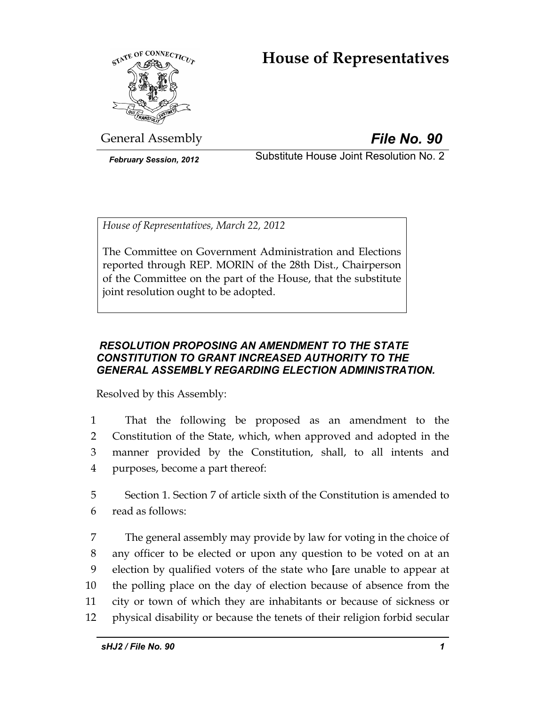# **House of Representatives**



General Assembly *File No. 90*

*February Session, 2012* Substitute House Joint Resolution No. 2

*House of Representatives, March 22, 2012* 

The Committee on Government Administration and Elections reported through REP. MORIN of the 28th Dist., Chairperson of the Committee on the part of the House, that the substitute joint resolution ought to be adopted.

# *RESOLUTION PROPOSING AN AMENDMENT TO THE STATE CONSTITUTION TO GRANT INCREASED AUTHORITY TO THE GENERAL ASSEMBLY REGARDING ELECTION ADMINISTRATION.*

Resolved by this Assembly:

- 1 That the following be proposed as an amendment to the 2 Constitution of the State, which, when approved and adopted in the 3 manner provided by the Constitution, shall, to all intents and 4 purposes, become a part thereof:
- 5 Section 1. Section 7 of article sixth of the Constitution is amended to 6 read as follows:
- 7 The general assembly may provide by law for voting in the choice of 8 any officer to be elected or upon any question to be voted on at an 9 election by qualified voters of the state who **[**are unable to appear at 10 the polling place on the day of election because of absence from the 11 city or town of which they are inhabitants or because of sickness or 12 physical disability or because the tenets of their religion forbid secular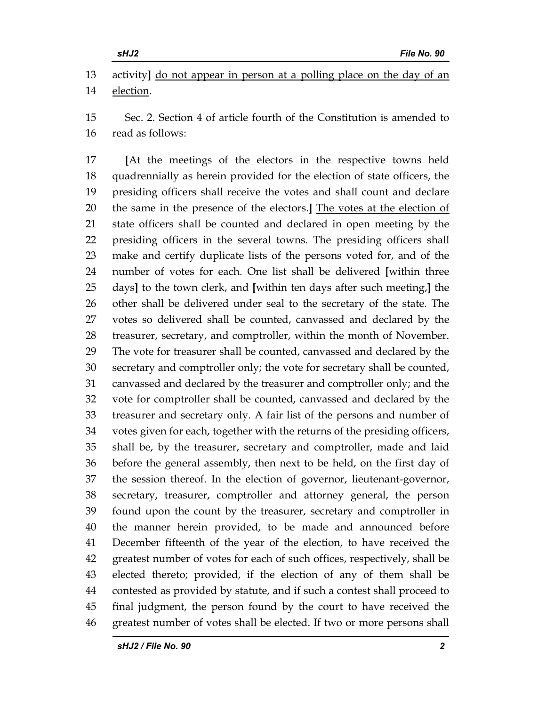13 activity**]** do not appear in person at a polling place on the day of an 14 election.

15 Sec. 2. Section 4 of article fourth of the Constitution is amended to 16 read as follows:

17 **[**At the meetings of the electors in the respective towns held 18 quadrennially as herein provided for the election of state officers, the 19 presiding officers shall receive the votes and shall count and declare 20 the same in the presence of the electors.**]** The votes at the election of 21 state officers shall be counted and declared in open meeting by the 22 presiding officers in the several towns. The presiding officers shall 23 make and certify duplicate lists of the persons voted for, and of the 24 number of votes for each. One list shall be delivered **[**within three 25 days**]** to the town clerk, and **[**within ten days after such meeting,**]** the 26 other shall be delivered under seal to the secretary of the state. The 27 votes so delivered shall be counted, canvassed and declared by the 28 treasurer, secretary, and comptroller, within the month of November. 29 The vote for treasurer shall be counted, canvassed and declared by the 30 secretary and comptroller only; the vote for secretary shall be counted, 31 canvassed and declared by the treasurer and comptroller only; and the 32 vote for comptroller shall be counted, canvassed and declared by the 33 treasurer and secretary only. A fair list of the persons and number of 34 votes given for each, together with the returns of the presiding officers, 35 shall be, by the treasurer, secretary and comptroller, made and laid 36 before the general assembly, then next to be held, on the first day of 37 the session thereof. In the election of governor, lieutenant-governor, 38 secretary, treasurer, comptroller and attorney general, the person 39 found upon the count by the treasurer, secretary and comptroller in 40 the manner herein provided, to be made and announced before 41 December fifteenth of the year of the election, to have received the 42 greatest number of votes for each of such offices, respectively, shall be 43 elected thereto; provided, if the election of any of them shall be 44 contested as provided by statute, and if such a contest shall proceed to 45 final judgment, the person found by the court to have received the 46 greatest number of votes shall be elected. If two or more persons shall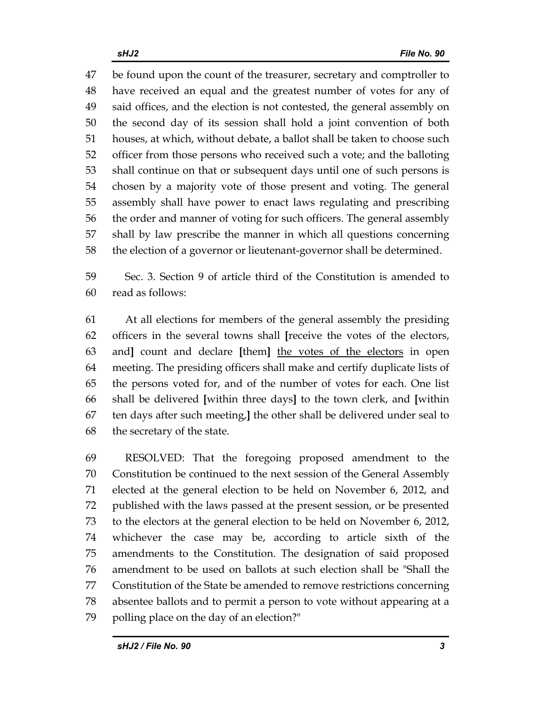47 be found upon the count of the treasurer, secretary and comptroller to 48 have received an equal and the greatest number of votes for any of 49 said offices, and the election is not contested, the general assembly on 50 the second day of its session shall hold a joint convention of both 51 houses, at which, without debate, a ballot shall be taken to choose such 52 officer from those persons who received such a vote; and the balloting 53 shall continue on that or subsequent days until one of such persons is 54 chosen by a majority vote of those present and voting. The general 55 assembly shall have power to enact laws regulating and prescribing 56 the order and manner of voting for such officers. The general assembly 57 shall by law prescribe the manner in which all questions concerning 58 the election of a governor or lieutenant-governor shall be determined.

59 Sec. 3. Section 9 of article third of the Constitution is amended to 60 read as follows:

61 At all elections for members of the general assembly the presiding 62 officers in the several towns shall **[**receive the votes of the electors, 63 and**]** count and declare **[**them**]** the votes of the electors in open 64 meeting. The presiding officers shall make and certify duplicate lists of 65 the persons voted for, and of the number of votes for each. One list 66 shall be delivered **[**within three days**]** to the town clerk, and **[**within 67 ten days after such meeting,**]** the other shall be delivered under seal to 68 the secretary of the state.

69 RESOLVED: That the foregoing proposed amendment to the 70 Constitution be continued to the next session of the General Assembly 71 elected at the general election to be held on November 6, 2012, and 72 published with the laws passed at the present session, or be presented 73 to the electors at the general election to be held on November 6, 2012, 74 whichever the case may be, according to article sixth of the 75 amendments to the Constitution. The designation of said proposed 76 amendment to be used on ballots at such election shall be "Shall the 77 Constitution of the State be amended to remove restrictions concerning 78 absentee ballots and to permit a person to vote without appearing at a 79 polling place on the day of an election?"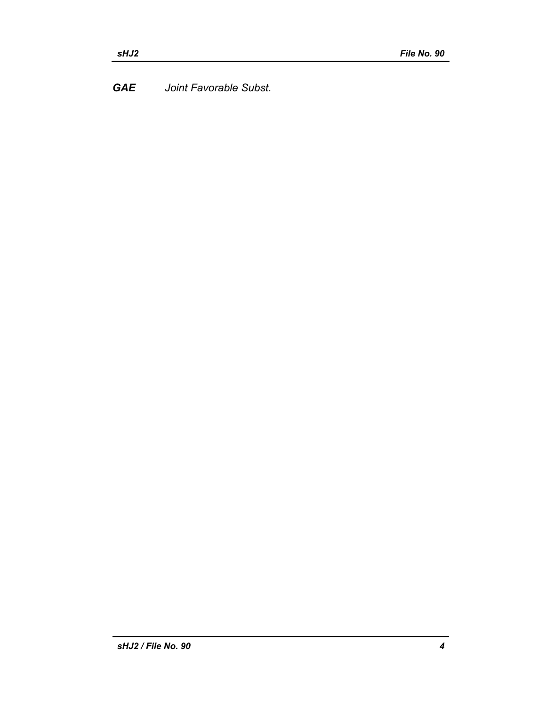*GAE Joint Favorable Subst.*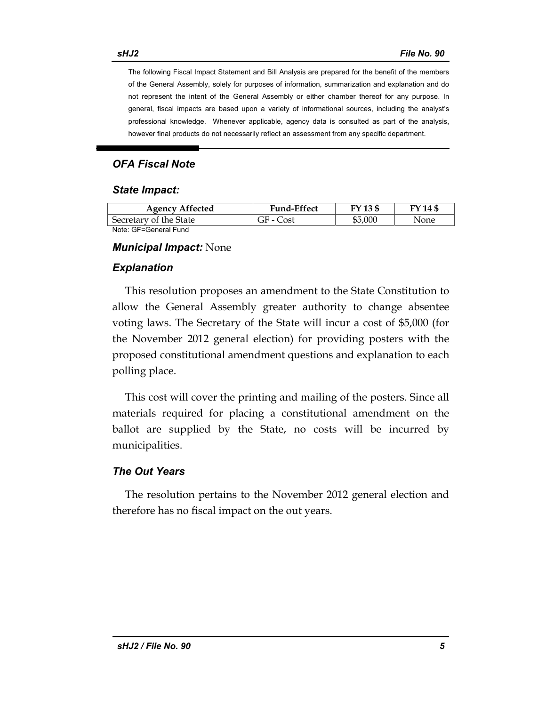The following Fiscal Impact Statement and Bill Analysis are prepared for the benefit of the members of the General Assembly, solely for purposes of information, summarization and explanation and do not represent the intent of the General Assembly or either chamber thereof for any purpose. In general, fiscal impacts are based upon a variety of informational sources, including the analyst's professional knowledge. Whenever applicable, agency data is consulted as part of the analysis, however final products do not necessarily reflect an assessment from any specific department.

### *OFA Fiscal Note*

#### *State Impact:*

| <b>Agency Affected</b> | <b>Fund-Effect</b> | FY 13 \$ | FY 14 \$ |
|------------------------|--------------------|----------|----------|
| Secretary of the State | GF - Cost          | \$5,000  | None     |
| Note: GF=General Fund  |                    |          |          |

#### *Municipal Impact:* None

#### *Explanation*

This resolution proposes an amendment to the State Constitution to allow the General Assembly greater authority to change absentee voting laws. The Secretary of the State will incur a cost of \$5,000 (for the November 2012 general election) for providing posters with the proposed constitutional amendment questions and explanation to each polling place.

This cost will cover the printing and mailing of the posters. Since all materials required for placing a constitutional amendment on the ballot are supplied by the State, no costs will be incurred by municipalities.

#### *The Out Years*

The resolution pertains to the November 2012 general election and therefore has no fiscal impact on the out years.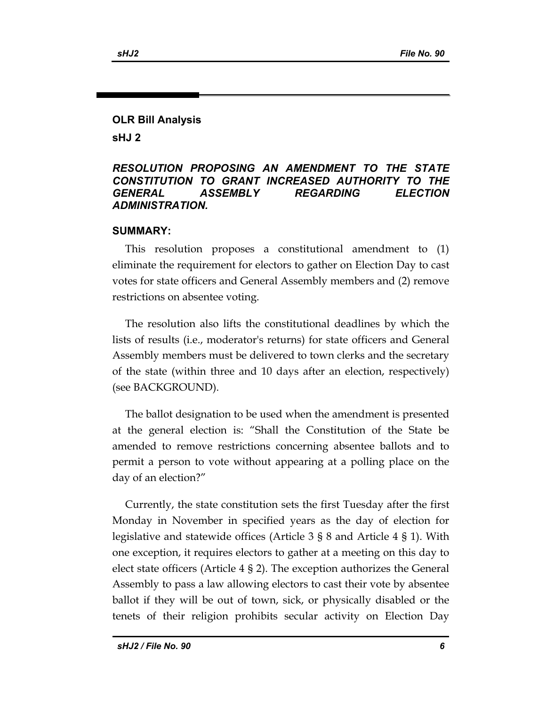# **OLR Bill Analysis sHJ 2**

### *RESOLUTION PROPOSING AN AMENDMENT TO THE STATE CONSTITUTION TO GRANT INCREASED AUTHORITY TO THE GENERAL ASSEMBLY REGARDING ELECTION ADMINISTRATION.*

### **SUMMARY:**

This resolution proposes a constitutional amendment to (1) eliminate the requirement for electors to gather on Election Day to cast votes for state officers and General Assembly members and (2) remove restrictions on absentee voting.

The resolution also lifts the constitutional deadlines by which the lists of results (i.e., moderator's returns) for state officers and General Assembly members must be delivered to town clerks and the secretary of the state (within three and 10 days after an election, respectively) (see BACKGROUND).

The ballot designation to be used when the amendment is presented at the general election is: "Shall the Constitution of the State be amended to remove restrictions concerning absentee ballots and to permit a person to vote without appearing at a polling place on the day of an election?"

Currently, the state constitution sets the first Tuesday after the first Monday in November in specified years as the day of election for legislative and statewide offices (Article 3 § 8 and Article 4 § 1). With one exception, it requires electors to gather at a meeting on this day to elect state officers (Article 4 § 2). The exception authorizes the General Assembly to pass a law allowing electors to cast their vote by absentee ballot if they will be out of town, sick, or physically disabled or the tenets of their religion prohibits secular activity on Election Day